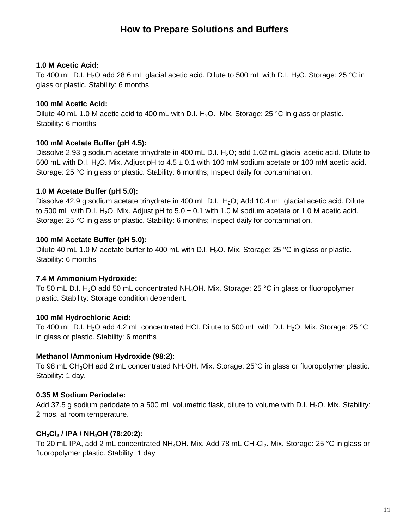### **1.0 M Acetic Acid:**

To 400 mL D.I. H<sub>2</sub>O add 28.6 mL glacial acetic acid. Dilute to 500 mL with D.I. H<sub>2</sub>O. Storage: 25 °C in glass or plastic. Stability: 6 months

### **100 mM Acetic Acid:**

Dilute 40 mL 1.0 M acetic acid to 400 mL with D.I.  $H_2O$ . Mix. Storage: 25 °C in glass or plastic. Stability: 6 months

# **100 mM Acetate Buffer (pH 4.5):**

Dissolve 2.93 g sodium acetate trihydrate in 400 mL D.I. H<sub>2</sub>O; add 1.62 mL glacial acetic acid. Dilute to 500 mL with D.I. H<sub>2</sub>O. Mix. Adjust pH to  $4.5 \pm 0.1$  with 100 mM sodium acetate or 100 mM acetic acid. Storage: 25 °C in glass or plastic. Stability: 6 months; Inspect daily for contamination.

### **1.0 M Acetate Buffer (pH 5.0):**

Dissolve 42.9 g sodium acetate trihydrate in 400 mL D.I.  $H_2O$ ; Add 10.4 mL glacial acetic acid. Dilute to 500 mL with D.I. H<sub>2</sub>O. Mix. Adjust pH to  $5.0 \pm 0.1$  with 1.0 M sodium acetate or 1.0 M acetic acid. Storage: 25 °C in glass or plastic. Stability: 6 months; Inspect daily for contamination.

### **100 mM Acetate Buffer (pH 5.0):**

Dilute 40 mL 1.0 M acetate buffer to 400 mL with D.I. H<sub>2</sub>O. Mix. Storage: 25 °C in glass or plastic. Stability: 6 months

# **7.4 M Ammonium Hydroxide:**

To 50 mL D.I. H<sub>2</sub>O add 50 mL concentrated NH<sub>4</sub>OH. Mix. Storage: 25 °C in glass or fluoropolymer plastic. Stability: Storage condition dependent.

# **100 mM Hydrochloric Acid:**

To 400 mL D.I. H<sub>2</sub>O add 4.2 mL concentrated HCI. Dilute to 500 mL with D.I. H<sub>2</sub>O. Mix. Storage: 25 °C in glass or plastic. Stability: 6 months

### **Methanol /Ammonium Hydroxide (98:2):**

To 98 mL CH<sub>3</sub>OH add 2 mL concentrated NH<sub>4</sub>OH. Mix. Storage: 25°C in glass or fluoropolymer plastic. Stability: 1 day.

# **0.35 M Sodium Periodate:**

Add 37.5 g sodium periodate to a 500 mL volumetric flask, dilute to volume with D.I. H<sub>2</sub>O. Mix. Stability: 2 mos. at room temperature.

# **CH2Cl2 / IPA / NH4OH (78:20:2):**

To 20 mL IPA, add 2 mL concentrated NH<sub>4</sub>OH. Mix. Add 78 mL CH<sub>2</sub>Cl<sub>2</sub>. Mix. Storage: 25 °C in glass or fluoropolymer plastic. Stability: 1 day